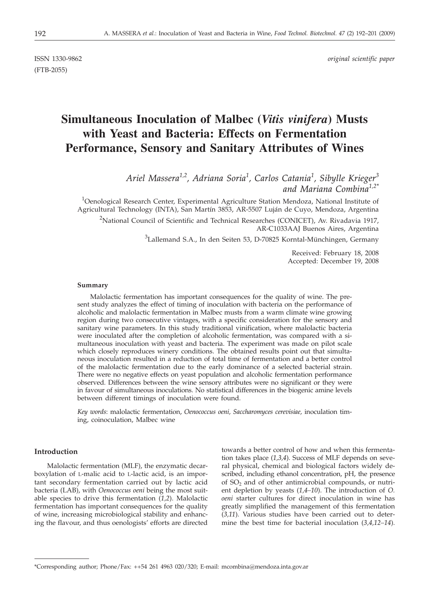ISSN 1330-9862 *original scientific paper*

(FTB-2055)

# **Simultaneous Inoculation of Malbec (***Vitis vinifera***) Musts with Yeast and Bacteria: Effects on Fermentation Performance, Sensory and Sanitary Attributes of Wines**

*Ariel Massera1,2, Adriana Soria1 , Carlos Catania<sup>1</sup> , Sibylle Krieger<sup>3</sup> and Mariana Combina1,2\**

<sup>1</sup>Oenological Research Center, Experimental Agriculture Station Mendoza, National Institute of Agricultural Technology (INTA), San Martín 3853, AR-5507 Luján de Cuyo, Mendoza, Argentina

<sup>2</sup>National Council of Scientific and Technical Researches (CONICET), Av. Rivadavia 1917, AR-C1033AAJ Buenos Aires, Argentina

 ${}^{3}$ Lallemand S.A., In den Seiten 53, D-70825 Korntal-Münchingen, Germany

Received: February 18, 2008 Accepted: December 19, 2008

#### **Summary**

Malolactic fermentation has important consequences for the quality of wine. The present study analyzes the effect of timing of inoculation with bacteria on the performance of alcoholic and malolactic fermentation in Malbec musts from a warm climate wine growing region during two consecutive vintages, with a specific consideration for the sensory and sanitary wine parameters. In this study traditional vinification, where malolactic bacteria were inoculated after the completion of alcoholic fermentation, was compared with a simultaneous inoculation with yeast and bacteria. The experiment was made on pilot scale which closely reproduces winery conditions. The obtained results point out that simultaneous inoculation resulted in a reduction of total time of fermentation and a better control of the malolactic fermentation due to the early dominance of a selected bacterial strain. There were no negative effects on yeast population and alcoholic fermentation performance observed. Differences between the wine sensory attributes were no significant or they were in favour of simultaneous inoculations. No statistical differences in the biogenic amine levels between different timings of inoculation were found.

*Key words*: malolactic fermentation, *Oenococcus oeni, Saccharomyces cerevisiae,* inoculation timing, coinoculation, Malbec wine

# **Introduction**

Malolactic fermentation (MLF), the enzymatic decarboxylation of L-malic acid to L-lactic acid, is an important secondary fermentation carried out by lactic acid bacteria (LAB), with *Oenococcus oeni* being the most suitable species to drive this fermentation (*1,2*). Malolactic fermentation has important consequences for the quality of wine, increasing microbiological stability and enhancing the flavour, and thus oenologists' efforts are directed towards a better control of how and when this fermentation takes place (*1,3,4*). Success of MLF depends on several physical, chemical and biological factors widely described, including ethanol concentration, pH, the presence of  $SO<sub>2</sub>$  and of other antimicrobial compounds, or nutrient depletion by yeasts (*1,4–10*). The introduction of *O. oeni* starter cultures for direct inoculation in wine has greatly simplified the management of this fermentation (*3,11*). Various studies have been carried out to determine the best time for bacterial inoculation (*3,4,12–14*).

<sup>\*</sup>Corresponding author; Phone/Fax: ++54 261 4963 020/320; E-mail: mcombina@mendoza.inta.gov.ar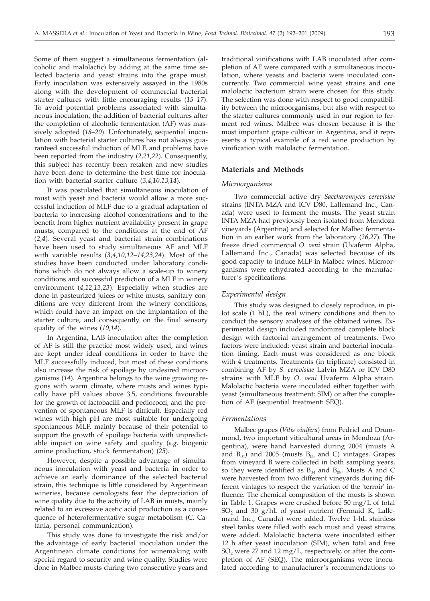Some of them suggest a simultaneous fermentation (alcoholic and malolactic) by adding at the same time selected bacteria and yeast strains into the grape must. Early inoculation was extensively assayed in the 1980s along with the development of commercial bacterial starter cultures with little encouraging results (*15–17*). To avoid potential problems associated with simultaneous inoculation, the addition of bacterial cultures after the completion of alcoholic fermentation (AF) was massively adopted (*18–20*). Unfortunately, sequential inoculation with bacterial starter cultures has not always guaranteed successful induction of MLF, and problems have been reported from the industry (*2,21,22*). Consequently, this subject has recently been retaken and new studies have been done to determine the best time for inoculation with bacterial starter culture (*3,4,10,13,14*).

It was postulated that simultaneous inoculation of must with yeast and bacteria would allow a more successful induction of MLF due to a gradual adaptation of bacteria to increasing alcohol concentrations and to the benefit from higher nutrient availability present in grape musts, compared to the conditions at the end of AF (*2,4*). Several yeast and bacterial strain combinations have been used to study simultaneous AF and MLF with variable results (*3,4,10,12–14,23,24*). Most of the studies have been conducted under laboratory conditions which do not always allow a scale-up to winery conditions and successful prediction of a MLF in winery environment (*4,12,13,23*). Especially when studies are done in pasteurized juices or white musts, sanitary conditions are very different from the winery conditions, which could have an impact on the implantation of the starter culture, and consequently on the final sensory quality of the wines (*10,14*).

In Argentina, LAB inoculation after the completion of AF is still the practice most widely used, and wines are kept under ideal conditions in order to have the MLF successfully induced, but most of these conditions also increase the risk of spoilage by undesired microorganisms (*14*). Argentina belongs to the wine growing regions with warm climate, where musts and wines typically have pH values above 3.5, conditions favourable for the growth of lactobacilli and pediococci, and the prevention of spontaneous MLF is difficult. Especially red wines with high pH are most suitable for undergoing spontaneous MLF, mainly because of their potential to support the growth of spoilage bacteria with unpredictable impact on wine safety and quality (*e.g.* biogenic amine production, stuck fermentation) (*25*).

However, despite a possible advantage of simultaneous inoculation with yeast and bacteria in order to achieve an early dominance of the selected bacterial strain, this technique is little considered by Argentinean wineries, because oenologists fear the depreciation of wine quality due to the activity of LAB in musts, mainly related to an excessive acetic acid production as a consequence of heterofermentative sugar metabolism (C. Catania, personal communication).

This study was done to investigate the risk and/or the advantage of early bacterial inoculation under the Argentinean climate conditions for winemaking with special regard to security and wine quality. Studies were done in Malbec musts during two consecutive years and

traditional vinifications with LAB inoculated after completion of AF were compared with a simultaneous inoculation, where yeasts and bacteria were inoculated concurrently. Two commercial wine yeast strains and one malolactic bacterium strain were chosen for this study. The selection was done with respect to good compatibility between the microorganisms, but also with respect to the starter cultures commonly used in our region to ferment red wines. Malbec was chosen because it is the most important grape cultivar in Argentina, and it represents a typical example of a red wine production by vinification with malolactic fermentation.

## **Materials and Methods**

#### *Microorganisms*

Two commercial active dry *Saccharomyces cerevisiae* strains (INTA MZA and ICV D80, Lallemand Inc., Canada) were used to ferment the musts. The yeast strain INTA MZA had previously been isolated from Mendoza vineyards (Argentina) and selected for Malbec fermentation in an earlier work from the laboratory (*26,27*). The freeze dried commercial *O. oeni* strain (Uvaferm Alpha, Lallemand Inc., Canada) was selected because of its good capacity to induce MLF in Malbec wines. Microorganisms were rehydrated according to the manufacturer's specifications.

## *Experimental design*

This study was designed to closely reproduce, in pilot scale (1 hL), the real winery conditions and then to conduct the sensory analyses of the obtained wines. Experimental design included randomized complete block design with factorial arrangement of treatments. Two factors were included: yeast strain and bacterial inoculation timing. Each must was considered as one block with 4 treatments. Treatments (in triplicate) consisted in combining AF by *S. cerevisiae* Lalvin MZA or ICV D80 strains with MLF by *O. oeni* Uvaferm Alpha strain. Malolactic bacteria were inoculated either together with yeast (simultaneous treatment: SIM) or after the completion of AF (sequential treatment: SEQ).

### *Fermentations*

Malbec grapes (*Vitis vinifera*) from Pedriel and Drummond, two important viticultural areas in Mendoza (Argentina), were hand harvested during 2004 (musts A and  $B_{04}$ ) and 2005 (musts  $B_{05}$  and C) vintages. Grapes from vineyard B were collected in both sampling years, so they were identified as  $B_{04}$  and  $B_{05}$ . Musts A and C were harvested from two different vineyards during different vintages to respect the variation of the 'terroir' influence. The chemical composition of the musts is shown in Table 1. Grapes were crushed before 50 mg/L of total  $SO_2$  and 30 g/hL of yeast nutrient (Fermaid K, Lallemand Inc., Canada) were added. Twelve 1-hL stainless steel tanks were filled with each must and yeast strains were added. Malolactic bacteria were inoculated either 12 h after yeast inoculation (SIM), when total and free SO<sub>2</sub> were 27 and 12 mg/L, respectively, or after the completion of AF (SEQ). The microorganisms were inoculated according to manufacturer's recommendations to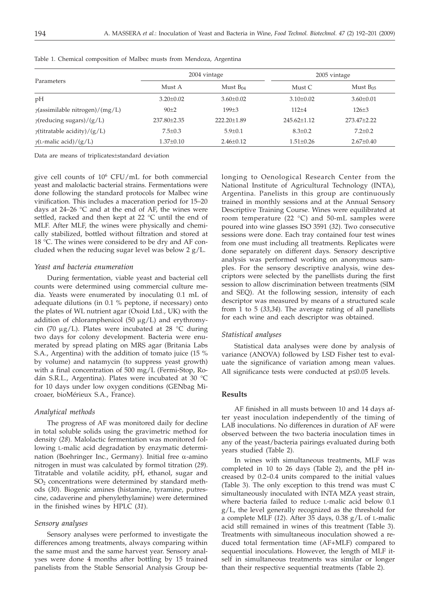|                                        |                 | 2004 vintage         | 2005 vintage    |                 |  |
|----------------------------------------|-----------------|----------------------|-----------------|-----------------|--|
| Parameters                             | Must A          | Must B <sub>04</sub> | Must C          | Must $B_{05}$   |  |
| pH                                     | $3.20 \pm 0.02$ | $3.60 \pm 0.02$      | $3.10\pm0.02$   | $3.60 \pm 0.01$ |  |
| $\gamma$ (assimilable nitrogen)/(mg/L) | $90+2$          | $199 + 3$            | $112 + 4$       | $126 \pm 3$     |  |
| $\gamma$ (reducing sugars)/(g/L)       | 237.80±2.35     | $222.20+1.89$        | $245.62+1.12$   | 273.47+2.22     |  |
| $\gamma$ (titratable acidity)/(g/L)    | $7.5 \pm 0.3$   | $5.9 \pm 0.1$        | $8.3 \pm 0.2$   | $7.2 \pm 0.2$   |  |
| $\gamma$ (L-malic acid)/(g/L)          | $1.37 \pm 0.10$ | $2.46 \pm 0.12$      | $1.51 \pm 0.26$ | $2.67 \pm 0.40$ |  |

Table 1. Chemical composition of Malbec musts from Mendoza, Argentina

Data are means of triplicates±standard deviation

give cell counts of 106 CFU/mL for both commercial yeast and malolactic bacterial strains. Fermentations were done following the standard protocols for Malbec wine vinification. This includes a maceration period for 15–20 days at  $24-26$  °C and at the end of AF, the wines were settled, racked and then kept at 22 °C until the end of MLF. After MLF, the wines were physically and chemically stabilized, bottled without filtration and stored at 18 °C. The wines were considered to be dry and AF concluded when the reducing sugar level was below 2 g/L.

## *Yeast and bacteria enumeration*

During fermentation, viable yeast and bacterial cell counts were determined using commercial culture media. Yeasts were enumerated by inoculating 0.1 mL of adequate dilutions (in 0.1 % peptone, if necessary) onto the plates of WL nutrient agar (Oxoid Ltd., UK) with the addition of chloramphenicol (50  $\mu$ g/L) and erythromycin (70  $\mu$ g/L). Plates were incubated at 28 °C during two days for colony development. Bacteria were enumerated by spread plating on MRS agar (Britania Labs S.A., Argentina) with the addition of tomato juice (15 % by volume) and natamycin (to suppress yeast growth) with a final concentration of 500 mg/L (Fermi-Stop, Rodán S.R.L., Argentina). Plates were incubated at 30 °C for 10 days under low oxygen conditions (GENbag Microaer, bioMérieux S.A., France).

## *Analytical methods*

The progress of AF was monitored daily for decline in total soluble solids using the gravimetric method for density (*28*). Malolactic fermentation was monitored following L-malic acid degradation by enzymatic determination (Boehringer Inc., Germany). Initial free  $\alpha$ -amino nitrogen in must was calculated by formol titration (*29*). Titratable and volatile acidity, pH, ethanol, sugar and  $SO<sub>2</sub>$  concentrations were determined by standard methods (*30*). Biogenic amines (histamine, tyramine, putrescine, cadaverine and phenylethylamine) were determined in the finished wines by HPLC (*31*).

# *Sensory analyses*

Sensory analyses were performed to investigate the differences among treatments, always comparing within the same must and the same harvest year. Sensory analyses were done 4 months after bottling by 15 trained panelists from the Stable Sensorial Analysis Group belonging to Oenological Research Center from the National Institute of Agricultural Technology (INTA), Argentina. Panelists in this group are continuously trained in monthly sessions and at the Annual Sensory Descriptive Training Course. Wines were equilibrated at room temperature (22 $\degree$ C) and 50-mL samples were poured into wine glasses ISO 3591 (*32*). Two consecutive sessions were done. Each tray contained four test wines from one must including all treatments. Replicates were done separately on different days. Sensory descriptive analysis was performed working on anonymous samples. For the sensory descriptive analysis, wine descriptors were selected by the panellists during the first session to allow discrimination between treatments (SIM and SEQ). At the following session, intensity of each descriptor was measured by means of a structured scale from 1 to 5 (*33,34*). The average rating of all panellists for each wine and each descriptor was obtained.

## *Statistical analyses*

Statistical data analyses were done by analysis of variance (ANOVA) followed by LSD Fisher test to evaluate the significance of variation among mean values. All significance tests were conducted at  $p\leq 0.05$  levels.

## **Results**

AF finished in all musts between 10 and 14 days after yeast inoculation independently of the timing of LAB inoculations. No differences in duration of AF were observed between the two bacteria inoculation times in any of the yeast/bacteria pairings evaluated during both years studied (Table 2).

In wines with simultaneous treatments, MLF was completed in 10 to 26 days (Table 2), and the pH increased by 0.2–0.4 units compared to the initial values (Table 3). The only exception to this trend was must C simultaneously inoculated with INTA MZA yeast strain, where bacteria failed to reduce L-malic acid below 0.1 g/L, the level generally recognized as the threshold for a complete MLF (*12*). After 35 days, 0.38 g/L of L-malic acid still remained in wines of this treatment (Table 3). Treatments with simultaneous inoculation showed a reduced total fermentation time (AF+MLF) compared to sequential inoculations. However, the length of MLF itself in simultaneous treatments was similar or longer than their respective sequential treatments (Table 2).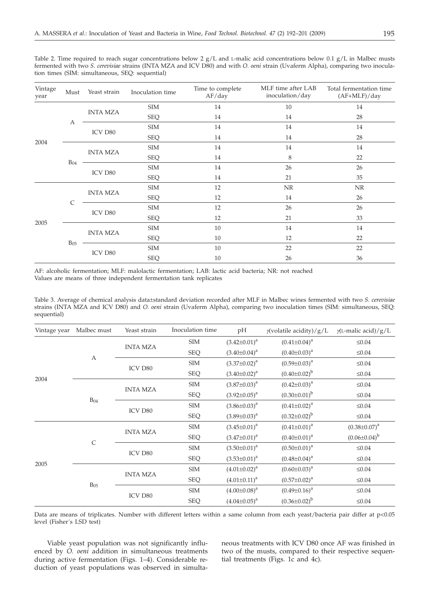|  |                                                 | Table 2. Time required to reach sugar concentrations below 2 $g/L$ and L-malic acid concentrations below 0.1 $g/L$ in Malbec musts |  |  |  |  |  |
|--|-------------------------------------------------|------------------------------------------------------------------------------------------------------------------------------------|--|--|--|--|--|
|  |                                                 | fermented with two S. cerevisiae strains (INTA MZA and ICV D80) and with O. oeni strain (Uvaferm Alpha), comparing two inocula-    |  |  |  |  |  |
|  | tion times (SIM: simultaneous, SEO: sequential) |                                                                                                                                    |  |  |  |  |  |

| Vintage<br>year | Must         | Yeast strain    | Inoculation time | Time to complete<br>AF/day | MLF time after LAB<br>inoculation/day | Total fermentation time<br>$(AF+MLF)/day$ |
|-----------------|--------------|-----------------|------------------|----------------------------|---------------------------------------|-------------------------------------------|
| 2004            |              | <b>INTA MZA</b> | <b>SIM</b>       | 14                         | 10                                    | 14                                        |
|                 |              |                 | <b>SEQ</b>       | 14                         | 14                                    | 28                                        |
|                 | А            | ICV D80         | <b>SIM</b>       | 14                         | 14                                    | 14                                        |
|                 |              |                 | <b>SEQ</b>       | 14                         | 14                                    | 28                                        |
|                 |              | <b>INTA MZA</b> | <b>SIM</b>       | 14                         | 14                                    | 14                                        |
|                 | $B_{04}$     |                 | <b>SEQ</b>       | 14                         | 8                                     | 22                                        |
|                 |              | ICV D80         | <b>SIM</b>       | 14                         | 26                                    | 26                                        |
|                 |              |                 | <b>SEQ</b>       | 14                         | 21                                    | 35                                        |
| 2005            |              | <b>INTA MZA</b> | <b>SIM</b>       | 12                         | NR                                    | <b>NR</b>                                 |
|                 | $\mathsf{C}$ |                 | <b>SEQ</b>       | 12                         | 14                                    | 26                                        |
|                 |              | ICV D80         | <b>SIM</b>       | 12                         | 26                                    | 26                                        |
|                 |              |                 | <b>SEQ</b>       | 12                         | 21                                    | 33                                        |
|                 |              | <b>INTA MZA</b> | <b>SIM</b>       | 10                         | 14                                    | 14                                        |
|                 |              |                 | <b>SEQ</b>       | 10                         | 12                                    | 22                                        |
|                 | $B_{05}$     | ICV D80         | <b>SIM</b>       | 10                         | 22                                    | 22                                        |
|                 |              |                 | <b>SEQ</b>       | 10                         | 26                                    | 36                                        |

AF: alcoholic fermentation; MLF: malolactic fermentation; LAB: lactic acid bacteria; NR: not reached Values are means of three independent fermentation tank replicates

Table 3. Average of chemical analysis data±standard deviation recorded after MLF in Malbec wines fermented with two *S. cerevisiae* strains (INTA MZA and ICV D80) and *O. oeni* strain (Uvaferm Alpha), comparing two inoculation times (SIM: simultaneous, SEQ: sequential)

| Vintage year | Malbec must | Yeast strain    | Inoculation time | pH                  | $\gamma$ (volatile acidity)/g/L | $\gamma$ (L-malic acid)/g/L |
|--------------|-------------|-----------------|------------------|---------------------|---------------------------------|-----------------------------|
| 2004         | A           | <b>INTA MZA</b> | <b>SIM</b>       | $(3.42 \pm 0.01)^a$ | $(0.41 \pm 0.04)^a$             | $\leq 0.04$                 |
|              |             |                 | <b>SEQ</b>       | $(3.40\pm0.04)^a$   | $(0.40 \pm 0.03)^a$             | $\leq 0.04$                 |
|              |             | ICV D80         | <b>SIM</b>       | $(3.37 \pm 0.02)^a$ | $(0.59 \pm 0.03)^a$             | $\leq 0.04$                 |
|              |             |                 | <b>SEQ</b>       | $(3.40\pm0.02)^a$   | $(0.40\pm0.02)^{b}$             | $\leq 0.04$                 |
|              |             | <b>INTA MZA</b> | <b>SIM</b>       | $(3.87 \pm 0.03)^a$ | $(0.42 \pm 0.03)^a$             | $\leq 0.04$                 |
|              | $B_{04}$    |                 | <b>SEQ</b>       | $(3.92 \pm 0.05)^a$ | $(0.30 \pm 0.01)^{b}$           | $≤0.04$                     |
|              |             | ICV D80         | <b>SIM</b>       | $(3.86 \pm 0.03)^a$ | $(0.41 \pm 0.02)^a$             | $\leq 0.04$                 |
|              |             |                 | <b>SEQ</b>       | $(3.89 \pm 0.03)^a$ | $(0.32 \pm 0.02)^{b}$           | $\leq 0.04$                 |
| 2005         | $\mathsf C$ | <b>INTA MZA</b> | <b>SIM</b>       | $(3.45 \pm 0.01)^a$ | $(0.41 \pm 0.01)^a$             | $(0.38 \pm 0.07)^a$         |
|              |             |                 | <b>SEQ</b>       | $(3.47 \pm 0.01)^a$ | $(0.40 \pm 0.01)^a$             | $(0.06 \pm 0.04)^{b}$       |
|              |             | ICV D80         | <b>SIM</b>       | $(3.50 \pm 0.01)^a$ | $(0.50 \pm 0.01)^a$             | $\leq 0.04$                 |
|              |             |                 | <b>SEQ</b>       | $(3.53 \pm 0.01)^a$ | $(0.48 \pm 0.04)^a$             | $\leq 0.04$                 |
|              |             | <b>INTA MZA</b> | <b>SIM</b>       | $(4.01\pm0.02)^a$   | $(0.60 \pm 0.03)^a$             | $≤0.04$                     |
|              | $B_{05}$    |                 | <b>SEQ</b>       | $(4.01\pm0.11)^a$   | $(0.57 \pm 0.02)^a$             | $\leq 0.04$                 |
|              |             | ICV D80         | <b>SIM</b>       | $(4.00\pm0.08)^a$   | $(0.49 \pm 0.16)^a$             | $≤0.04$                     |
|              |             |                 | <b>SEQ</b>       | $(4.04\pm0.05)^{a}$ | $(0.36 \pm 0.02)^{b}$           | $\leq 0.04$                 |

Data are means of triplicates. Number with different letters within a same column from each yeast/bacteria pair differ at p<0.05 level (Fisher´s LSD test)

Viable yeast population was not significantly influenced by *O. oeni* addition in simultaneous treatments during active fermentation (Figs. 1–4). Considerable reduction of yeast populations was observed in simultaneous treatments with ICV D80 once AF was finished in two of the musts, compared to their respective sequential treatments (Figs. 1c and 4c).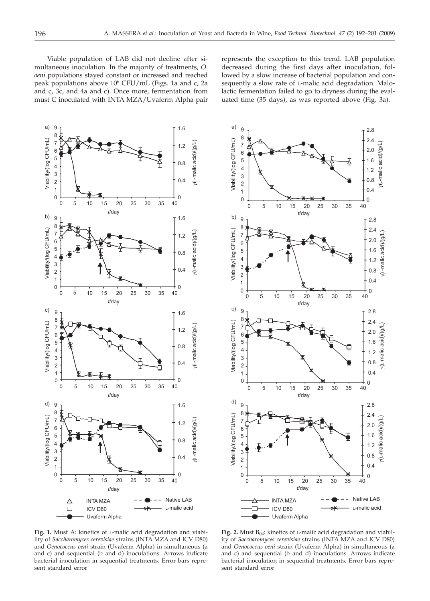Viable population of LAB did not decline after simultaneous inoculation. In the majority of treatments, *O. oeni* populations stayed constant or increased and reached peak populations above 106 CFU/mL (Figs. 1a and c, 2a and c, 3c, and 4a and c). Once more, fermentation from must C inoculated with INTA MZA/Uvaferm Alpha pair

represents the exception to this trend. LAB population decreased during the first days after inoculation, followed by a slow increase of bacterial population and consequently a slow rate of L-malic acid degradation. Malolactic fermentation failed to go to dryness during the evaluated time (35 days), as was reported above (Fig. 3a).



**Fig. 1.** Must A: kinetics of L-malic acid degradation and viability of *Saccharomyces cerevisiae* strains (INTA MZA and ICV D80) and *Oenococcus oeni* strain (Uvaferm Alpha) in simultaneous (a and c) and sequential (b and d) inoculations. Arrows indicate bacterial inoculation in sequential treatments. Error bars represent standard error



Fig. 2. Must B<sub>04</sub>: kinetics of L-malic acid degradation and viability of *Saccharomyces cerevisiae* strains (INTA MZA and ICV D80) and *Oenococcus oeni* strain (Uvaferm Alpha) in simultaneous (a and c) and sequential (b and d) inoculations. Arrows indicate bacterial inoculation in sequential treatments. Error bars represent standard error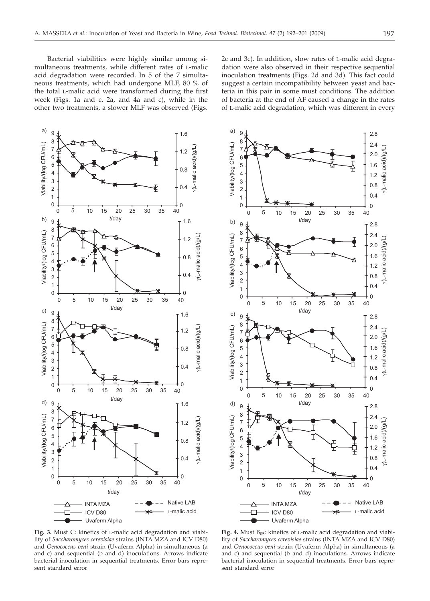Bacterial viabilities were highly similar among simultaneous treatments, while different rates of L-malic acid degradation were recorded. In 5 of the 7 simultaneous treatments, which had undergone MLF, 80 % of the total L-malic acid were transformed during the first week (Figs. 1a and c, 2a, and 4a and c), while in the other two treatments, a slower MLF was observed (Figs.

2c and 3c). In addition, slow rates of L-malic acid degradation were also observed in their respective sequential inoculation treatments (Figs. 2d and 3d). This fact could suggest a certain incompatibility between yeast and bacteria in this pair in some must conditions. The addition of bacteria at the end of AF caused a change in the rates of L-malic acid degradation, which was different in every

a)





**Fig. 3.** Must C: kinetics of L-malic acid degradation and viability of *Saccharomyces cerevisiae* strains (INTA MZA and ICV D80) and *Oenococcus oeni* strain (Uvaferm Alpha) in simultaneous (a and c) and sequential (b and d) inoculations. Arrows indicate bacterial inoculation in sequential treatments. Error bars represent standard error

Fig. 4. Must  $B_{05}$ : kinetics of L-malic acid degradation and viability of *Saccharomyces cerevisiae* strains (INTA MZA and ICV D80) and *Oenococcus oeni* strain (Uvaferm Alpha) in simultaneous (a and c) and sequential (b and d) inoculations. Arrows indicate bacterial inoculation in sequential treatments. Error bars represent standard error

2.0

2.4

2.8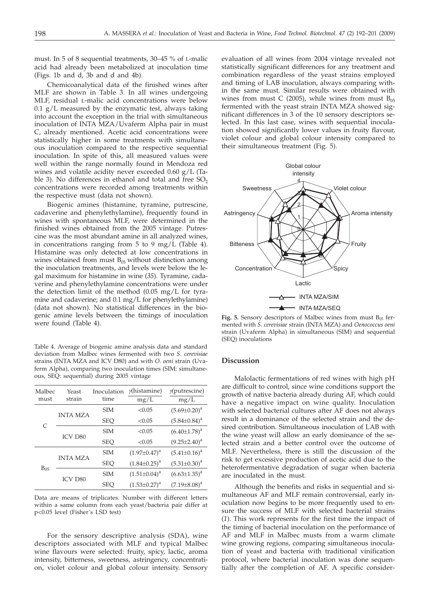must. In 5 of 8 sequential treatments, 30–45 % of L-malic acid had already been metabolized at inoculation time (Figs. 1b and d, 3b and d and 4b).

Chemicoanalytical data of the finished wines after MLF are shown in Table 3. In all wines undergoing MLF, residual L-malic acid concentrations were below  $0.1$  g/L measured by the enzymatic test, always taking into account the exception in the trial with simultaneous inoculation of INTA MZA/Uvaferm Alpha pair in must C, already mentioned. Acetic acid concentrations were statistically higher in some treatments with simultaneous inoculation compared to the respective sequential inoculation. In spite of this, all measured values were well within the range normally found in Mendoza red wines and volatile acidity never exceeded 0.60 g/L (Table 3). No differences in ethanol and total and free  $SO<sub>2</sub>$ concentrations were recorded among treatments within the respective must (data not shown).

Biogenic amines (histamine, tyramine, putrescine, cadaverine and phenylethylamine), frequently found in wines with spontaneous MLF, were determined in the finished wines obtained from the 2005 vintage. Putrescine was the most abundant amine in all analyzed wines, in concentrations ranging from 5 to 9 mg/L (Table 4). Histamine was only detected at low concentrations in wines obtained from must  $B_{05}$  without distinction among the inoculation treatments, and levels were below the legal maximum for histamine in wine (*35*). Tyramine, cadaverine and phenylethylamine concentrations were under the detection limit of the method (0.05 mg/L for tyramine and cadaverine; and 0.1 mg/L for phenylethylamine) (data not shown). No statistical differences in the biogenic amine levels between the timings of inoculation were found (Table 4).

Table 4. Average of biogenic amine analysis data and standard deviation from Malbec wines fermented with two *S. cerevisiae* strains (INTA MZA and ICV D80) and with *O. oeni* strain (Uvaferm Alpha), comparing two inoculation times (SIM: simultaneous, SEQ: sequential) during 2005 vintage

| Malbec   | Yeast           | Inoculation | $\gamma$ histamine) | $\gamma$ (putrescine) |  |
|----------|-----------------|-------------|---------------------|-----------------------|--|
| must     | strain          | time        | mg/L                | mg/L                  |  |
| C        | <b>INTA MZA</b> | <b>SIM</b>  | < 0.05              | $(5.69 \pm 0.20)^a$   |  |
|          |                 | <b>SEO</b>  | < 0.05              | $(5.84 \pm 0.84)^a$   |  |
|          | <b>ICV D80</b>  | <b>SIM</b>  | < 0.05              | $(6.40 \pm 1.78)^a$   |  |
|          |                 | <b>SEO</b>  | < 0.05              | $(9.25 \pm 2.40)^a$   |  |
| $B_{05}$ | <b>INTA MZA</b> | <b>SIM</b>  | $(1.97 \pm 0.47)^a$ | $(5.41 \pm 0.16)^a$   |  |
|          |                 | <b>SEO</b>  | $(1.84 \pm 0.25)^a$ | $(5.31 \pm 0.30)^a$   |  |
|          |                 | <b>SIM</b>  | $(1.51 \pm 0.04)^a$ | $(6.63 \pm 1.35)^a$   |  |
|          | <b>ICV D80</b>  | <b>SEO</b>  | $(1.53 \pm 0.27)^a$ | $(7.19 \pm 8.08)^a$   |  |
|          |                 |             |                     |                       |  |

Data are means of triplicates. Number with different letters within a same column from each yeast/bacteria pair differ at p<0.05 level (Fisher´s LSD test)

For the sensory descriptive analysis (SDA), wine descriptors associated with MLF and typical Malbec wine flavours were selected: fruity, spicy, lactic, aroma intensity, bitterness, sweetness, astringency, concentration, violet colour and global colour intensity. Sensory

evaluation of all wines from 2004 vintage revealed not statistically significant differences for any treatment and combination regardless of the yeast strains employed and timing of LAB inoculation, always comparing within the same must. Similar results were obtained with wines from must C (2005), while wines from must  $B_{05}$ fermented with the yeast strain INTA MZA showed significant differences in 3 of the 10 sensory descriptors selected. In this last case, wines with sequential inoculation showed significantly lower values in fruity flavour, violet colour and global colour intensity compared to their simultaneous treatment (Fig. 5).



Fig. 5. Sensory descriptors of Malbec wines from must B<sub>05</sub> fermented with *S. cerevisiae* strain (INTA MZA) and *Oenococcus oeni* strain (Uvaferm Alpha) in simultaneous (SIM) and sequential (SEQ) inoculations

## **Discussion**

Malolactic fermentations of red wines with high pH are difficult to control, since wine conditions support the growth of native bacteria already during AF, which could have a negative impact on wine quality. Inoculation with selected bacterial cultures after AF does not always result in a dominance of the selected strain and the desired contribution. Simultaneous inoculation of LAB with the wine yeast will allow an early dominance of the selected strain and a better control over the outcome of MLF. Nevertheless, there is still the discussion of the risk to get excessive production of acetic acid due to the heterofermentative degradation of sugar when bacteria are inoculated in the must.

Although the benefits and risks in sequential and simultaneous AF and MLF remain controversial, early inoculation now begins to be more frequently used to ensure the success of MLF with selected bacterial strains (*1*). This work represents for the first time the impact of the timing of bacterial inoculation on the performance of AF and MLF in Malbec musts from a warm climate wine growing regions, comparing simultaneous inoculation of yeast and bacteria with traditional vinification protocol, where bacterial inoculation was done sequentially after the completion of AF. A specific consider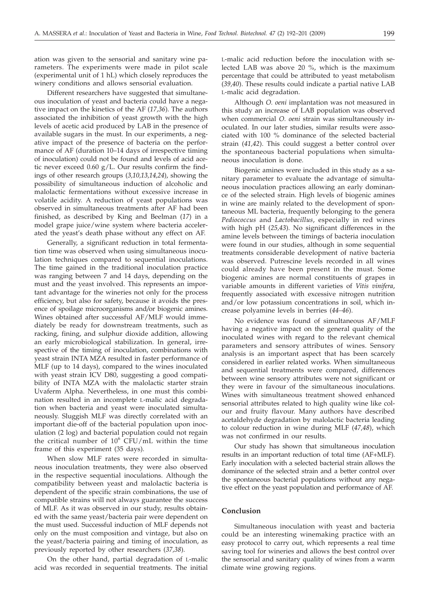ation was given to the sensorial and sanitary wine parameters. The experiments were made in pilot scale (experimental unit of 1 hL) which closely reproduces the winery conditions and allows sensorial evaluation.

Different researchers have suggested that simultaneous inoculation of yeast and bacteria could have a negative impact on the kinetics of the AF (*17,36*). The authors associated the inhibition of yeast growth with the high levels of acetic acid produced by LAB in the presence of available sugars in the must. In our experiments, a negative impact of the presence of bacteria on the performance of AF (duration 10–14 days of irrespective timing of inoculation) could not be found and levels of acid acetic never exceed  $0.60$  g/L. Our results confirm the findings of other research groups (*3,10,13,14,24*), showing the possibility of simultaneous induction of alcoholic and malolactic fermentations without excessive increase in volatile acidity. A reduction of yeast populations was observed in simultaneous treatments after AF had been finished, as described by King and Beelman (*17*) in a model grape juice/wine system where bacteria accelerated the yeast's death phase without any effect on AF.

Generally, a significant reduction in total fermentation time was observed when using simultaneous inoculation techniques compared to sequential inoculations. The time gained in the traditional inoculation practice was ranging between 7 and 14 days, depending on the must and the yeast involved. This represents an important advantage for the wineries not only for the process efficiency, but also for safety, because it avoids the presence of spoilage microorganisms and*/*or biogenic amines. Wines obtained after successful AF/MLF would immediately be ready for downstream treatments, such as racking, fining, and sulphur dioxide addition, allowing an early microbiological stabilization. In general, irrespective of the timing of inoculation, combinations with yeast strain INTA MZA resulted in faster performance of MLF (up to 14 days), compared to the wines inoculated with yeast strain ICV D80, suggesting a good compatibility of INTA MZA with the malolactic starter strain Uvaferm Alpha. Nevertheless, in one must this combination resulted in an incomplete L-malic acid degradation when bacteria and yeast were inoculated simultaneously. Sluggish MLF was directly correlated with an important die-off of the bacterial population upon inoculation (2 log) and bacterial population could not regain the critical number of  $10^6$  CFU/mL within the time frame of this experiment (35 days).

When slow MLF rates were recorded in simultaneous inoculation treatments, they were also observed in the respective sequential inoculations. Although the compatibility between yeast and malolactic bacteria is dependent of the specific strain combinations, the use of compatible strains will not always guarantee the success of MLF. As it was observed in our study, results obtained with the same yeast/bacteria pair were dependent on the must used. Successful induction of MLF depends not only on the must composition and vintage, but also on the yeast/bacteria pairing and timing of inoculation, as previously reported by other researchers (*37,38*).

On the other hand, partial degradation of L-malic acid was recorded in sequential treatments. The initial

L-malic acid reduction before the inoculation with selected LAB was above 20 %, which is the maximum percentage that could be attributed to yeast metabolism (*39,40*). These results could indicate a partial native LAB L-malic acid degradation.

Although *O. oeni* implantation was not measured in this study an increase of LAB population was observed when commercial *O. oeni* strain was simultaneously inoculated. In our later studies, similar results were associated with 100 % dominance of the selected bacterial strain (*41,42*). This could suggest a better control over the spontaneous bacterial populations when simultaneous inoculation is done.

Biogenic amines were included in this study as a sanitary parameter to evaluate the advantage of simultaneous inoculation practices allowing an early dominance of the selected strain. High levels of biogenic amines in wine are mainly related to the development of spontaneous ML bacteria, frequently belonging to the genera *Pediococcus* and *Lactobacillus*, especially in red wines with high pH (*25,43*). No significant differences in the amine levels between the timings of bacteria inoculation were found in our studies, although in some sequential treatments considerable development of native bacteria was observed. Putrescine levels recorded in all wines could already have been present in the must. Some biogenic amines are normal constituents of grapes in variable amounts in different varieties of *Vitis vinifera*, frequently associated with excessive nitrogen nutrition and/or low potassium concentrations in soil, which increase polyamine levels in berries (*44–46*).

No evidence was found of simultaneous AF/MLF having a negative impact on the general quality of the inoculated wines with regard to the relevant chemical parameters and sensory attributes of wines. Sensory analysis is an important aspect that has been scarcely considered in earlier related works. When simultaneous and sequential treatments were compared, differences between wine sensory attributes were not significant or they were in favour of the simultaneous inoculations. Wines with simultaneous treatment showed enhanced sensorial attributes related to high quality wine like colour and fruity flavour. Many authors have described acetaldehyde degradation by malolactic bacteria leading to colour reduction in wine during MLF (*47,48*), which was not confirmed in our results.

Our study has shown that simultaneous inoculation results in an important reduction of total time (AF+MLF). Early inoculation with a selected bacterial strain allows the dominance of the selected strain and a better control over the spontaneous bacterial populations without any negative effect on the yeast population and performance of AF.

## **Conclusion**

Simultaneous inoculation with yeast and bacteria could be an interesting winemaking practice with an easy protocol to carry out, which represents a real time saving tool for wineries and allows the best control over the sensorial and sanitary quality of wines from a warm climate wine growing regions.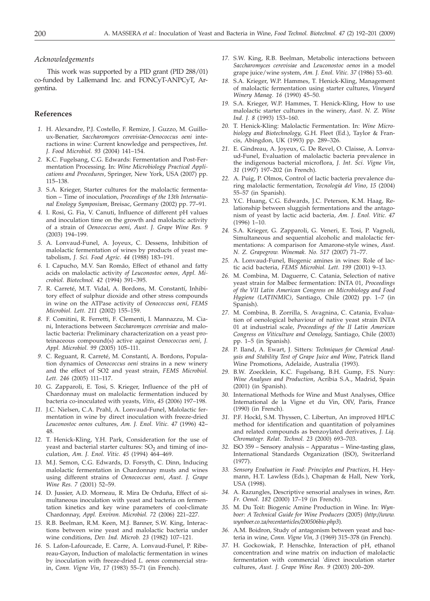### *Acknowledgements*

This work was supported by a PID grant (PID 288/01) co-funded by Lallemand Inc. and FONCyT-ANPCyT, Argentina.

# **References**

- *1.* H. Alexandre, P.J. Costello, F. Remize, J. Guzzo, M. Guilloux-Benatier, *Saccharomyces cerevisiae-Oenococcus oeni* interactions in wine: Current knowledge and perspectives, *Int. J. Food Microbiol. 93* (2004) 141–154.
- *2.* K.C. Fugelsang, C.G. Edwards: Fermentation and Post-Fermentation Processing. In: *Wine Microbiology Practical Applications and Procedures*, Springer, New York, USA (2007) pp. 115–138.
- *3.* S.A. Krieger, Starter cultures for the malolactic fermentation – Time of inoculation*, Proceedings of the 13th International Enology Symposium*, Breisac, Germany (2002) pp. 77–91.
- *4.* I. Rosi, G. Fia, V. Canuti, Influence of different pH values and inoculation time on the growth and malolactic activity of a strain of *Oenococcus oeni*, *Aust. J. Grape Wine Res. 9* (2003) 194–199.
- *5.* A. Lonvaud-Funel, A. Joyeux, C. Dessens, Inhibition of malolactic fermentation of wines by products of yeast metabolism, *J. Sci. Food Agric*. *44* (1988) 183–191.
- *6.* I. Capucho, M.V. San Romão, Effect of ethanol and fatty acids on malolactic activity *of Leuconostoc oenos*, *Appl. Microbiol. Biotechnol. 42* (1994) 391–395.
- *7.* R. Carreté, M.T. Vidal, A. Bordons, M. Constantí, Inhibitory effect of sulphur dioxide and other stress compounds in wine on the ATPase activity of *Oenococcus oeni*, *FEMS Microbiol. Lett. 211* (2002) 155–159.
- *8.* F. Comitini, R. Ferretti, F. Clementi, I. Mannazzu, M. Ciani, Interactions between *Saccharomyces cerevisiae* and malolactic bacteria: Preliminary characterization on a yeast proteinaceous compound(s) active against *Oenococcus oeni*, *J. Appl. Microbiol. 99* (2005) 105–111.
- *9.* C. Reguant, R. Carreté, M. Constantí, A. Bordons, Population dynamics of *Oenococcus oeni* strains in a new winery and the effect of SO2 and yeast strain, *FEMS Microbiol. Lett. 246* (2005) 111–117.
- *10.* G. Zapparoli, E. Tosi, S. Krieger, Influence of the pH of Chardonnay must on malolactic fermentation induced by bacteria co-inoculated with yeasts, *Vitis*, *45* (2006) 197–198.
- *11.* J.C. Nielsen, C.A. Prahl, A. Lonvaud-Funel, Malolactic fermentation in wine by direct inoculation with freeze-dried *Leuconostoc oenos* cultures, *Am. J. Enol. Vitic. 47* (1996) 42– 48.
- *12.* T. Henick-Kling, Y.H. Park, Consideration for the use of yeast and bacterial starter cultures:  $SO<sub>2</sub>$  and timing of inoculation, *Am. J. Enol. Vitic. 45* (1994) 464–469.
- *13.* M.J. Semon, C.G. Edwards, D. Forsyth, C. Dinn, Inducing malolactic fermentation in Chardonnay musts and wines using different strains of *Oenococcus oeni*, *Aust. J. Grape Wine Res. 7* (2001) 52–59.
- *14.* D. Jussier, A.D. Morneau, R. Mira De Orduña, Effect of simultaneous inoculation with yeast and bacteria on fermentation kinetics and key wine parameters of cool-climate Chardonnay, *Appl. Environ. Microbiol. 72* (2006) 221–227.
- *15.* R.B. Beelman, R.M. Keen, M.J. Banner, S.W. King, Interactions between wine yeast and malolactic bacteria under wine conditions, *Dev. Ind. Microb. 23* (1982) 107–121.
- *16.* S. Lafon-Lafourcade, E. Carre, A. Lonvaud-Funel, P. Ribereau-Gayon, Induction of malolactic fermentation in wines by inoculation with freeze-dried *L. oenos* commercial strain, *Conn. Vigne Vin*, *17* (1983) 55–71 (in French).
- *17.* S.W. King, R.B. Beelman, Metabolic interactions between *Saccharomyces cerevisiae* and *Leuconostoc oenos* in a model grape juice/wine system, *Am. J. Enol. Vitic. 37* (1986) 53–60.
- *18.* S.A. Krieger, W.P. Hammes, T. Henick-Kling, Management of malolactic fermentation using starter cultures, *Vineyard Winery Manag. 16* (1990) 45–50.
- *19.* S.A. Krieger, W.P. Hammes, T. Henick-Kling, How to use malolactic starter cultures in the winery, *Aust. N. Z. Wine Ind. J. 8* (1993) 153–160.
- *20.* T. Henick-Kling: Malolactic Fermentation. In: *Wine Microbiology and Biotechnology*, G.H. Fleet (Ed.), Taylor & Francis, Abingdon, UK (1993) pp. 289–326.
- *21.* E. Gindreau, A. Joyeux, G. De Revel, O. Claisse, A. Lonvaud-Funel, Evaluation of malolactic bacteria prevalence in the indigenous bacterial microflora, *J. Int. Sci. Vigne Vin*, *31* (1997) 197–202 (in French).
- *22.* A. Puig, P. Olmos, Control of lactic bacteria prevalence during malolactic fermentation, *Tecnología del Vino*, *15* (2004) 55–57 (in Spanish).
- *23.* Y.C. Huang, C.G. Edwards, J.C. Peterson, K.M. Haag, Relationship between sluggish fermentations and the antagonism of yeast by lactic acid bacteria, *Am. J. Enol. Vitic. 47* (1996) 1–10.
- *24.* S.A. Krieger, G. Zapparoli, G. Veneri, E. Tosi, P. Vagnoli, Simultaneous and sequential alcoholic and malolactic fermentations: A comparison for Amarone-style wines, *Aust. N. Z. Grapegrow. Winemak. No. 517* (2007) 71–77.
- *25.* A. Lonvaud-Funel, Biogenic amines in wines: Role of lactic acid bacteria, *FEMS Microbiol. Lett. 199* (2001) 9–13.
- *26.* M. Combina, M. Daguerre, C. Catania, Selection of native yeast strain for Malbec fermentation: INTA 01, *Proceedings of the VII Latin American Congress on Microbiology and Food Hygiene (LATINMIC)*, Santiago, Chile (2002) pp. 1–7 (in Spanish).
- *27.* M. Combina, B. Zorrilla, S. Avagnina, C. Catania, Evaluation of oenological behaviour of native yeast strain INTA 01 at industrial scale, *Proceedings of the II Latin American Congress on Viticulture and Oenology*, Santiago, Chile (2003) pp. 1–5 (in Spanish).
- *28.* P. Iland, A. Ewart, J. Sitters*: Techniques for Chemical Analysis and Stability Test of Grape Juice and Wine*, Patrick Iland Wine Promotions, Adelaide, Australia (1993).
- *29.* B.W. Zoecklein, K.C. Fugelsang, B.H. Gump, F.S. Nury: *Wine Analyses and Production*, Acribia S.A., Madrid, Spain (2001) (in Spanish).
- *30.* International Methods for Wine and Must Analyses, Office International de la Vigne et du Vin, OIV, Paris, France (1990) (in French).
- *31.* P.F. Hockl, S.M. Thyssen, C. Libertun, An improved HPLC method for identification and quantitation of polyamines and related compounds as benzoylated derivatives*, J. Liq. Chromatogr. Relat. Technol. 23* (2000) 693–703.
- *32.* ISO 359 Sensory analysis Apparatus Wine-tasting glass, International Standards Organization (ISO), Switzerland (1977).
- *33. Sensory Evaluation in Food*: *Principles and Practices*, H. Heymann, H.T. Lawless (Eds.), Chapman & Hall, New York, USA (1998).
- *34.* A. Razungles, Descriptive sensorial analyses in wines, *Rev*. *Fr*. *Oenol*. *182* (2000) 17–19 (in French).
- *35.* M. Du Toit: Biogenic Amine Production in Wine. In: *Wynboer: A Technical Guide for Wine Producers* (2005) (*http://www. wynboer.co.za/recentarticles/200506bio.php3*).
- *36.* A.M. Boidron, Study of antagonism between yeast and bacteria in wine, *Conn. Vigne Vin, 3* (1969) 315–378 (in French).
- *37.* H. Gockowiak, P. Henschke, Interaction of pH, ethanol concentration and wine matrix on induction of malolactic fermentation with commercial 'direct inoculation starter cultures, *Aust. J. Grape Wine Res. 9* (2003) 200–209.